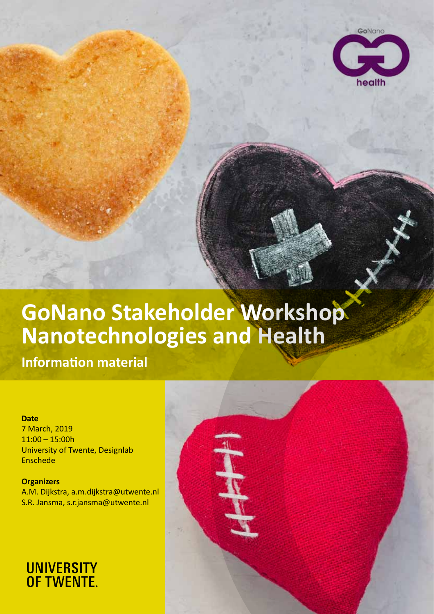

# **GoNano Stakeholder Workshop Nanotechnologies and Health**

**Information material**

#### **Date**

7 March, 2019 11:00 – 15:00h University of Twente, Designlab Enschede

**Organizers** A.M. Dijkstra, a.m.dijkstra@utwente.nl S.R. Jansma, s.r.jansma@utwente.nl

### **UNIVERSITY** OF TWENTE.

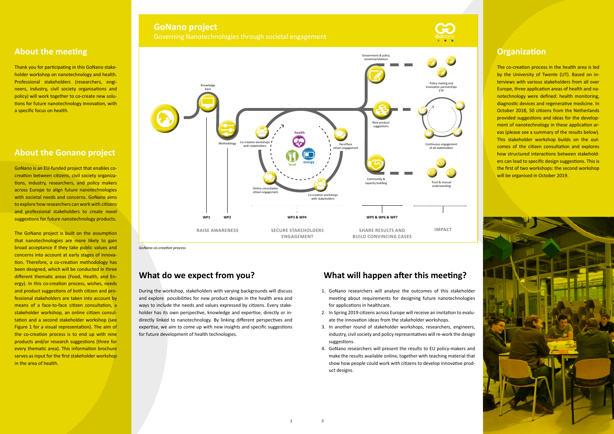### **About the meeting**

Thank you for participating in this GoNano stakeholder workshop on nanotechnology and health. Professional stakeholders (researchers, engineers, industry, civil society organisations and policy) will work together to co-create new solutions for future nanotechnology innovation, with a specific focus on health.

### **About the Gonano project**

GoNano is an EU-funded project that enables cocreation between citizens, civil society organizations, industry, researchers, and policy makers across Europe to align future nanotechnologies with societal needs and concerns. GoNano aims to explore how researchers can work with citizens and professional stakeholders to create novel suggestions for future nanotechnology products.

The GoNano project is built on the assumption that nanotechnologies are more likely to gain broad acceptance if they take public values and concerns into account at early stages of innovation. Therefore, a co-creation methodology has been designed, which will be conducted in three different thematic areas (Food, Health, and Energy). In this co-creation process, wishes, needs and product suggestions of both citizen and professional stakeholders are taken into account by means of a face-to-face citizen consultation, a stakeholder workshop, an online citizen consultation and a second stakeholder workshop (see Figure 1 for a visual representation). The aim of the co-creation process is to end up with nine products and/or research suggestions (three for every thematic area). This information brochure serves as input for the first stakeholder workshop in the area of health.

The co-creation process in the health area is led by the University of Twente (UT). Based on interviews with various stakeholders from all over Europe, three application areas of health and nanotechnology were defined: health monitoring, diagnostic devices and regenerative medicine. In October 2018, 50 citizens from the Netherlands provided suggestions and ideas for the development of nanotechnology in these application areas (please see a summary of the results below). This stakeholder workshop builds on the outcomes of the citizen consultation and explores how structured interactions between stakeholders can lead to specific design suggestions. This is the first of two workshops: the second workshop will be organised in October 2019.



### **What do we expect from you?**

### **GoNano project** Governing Nanotechnologies through societal engagement

During the workshop, stakeholders with varying backgrounds will discuss and explore possibilities for new product design in the health area and ways to include the needs and values expressed by citizens. Every stakeholder has its own perspective, knowledge and expertise, directly or indirectly linked to nanotechnology. By linking different perspectives and expertise, we aim to come up with new insights and specific suggestions for future development of health technologies.

### **What will happen after this meeting?**

- 1. GoNano researchers will analyse the outcomes of this stakeholder meeting about requirements for designing future nanotechnologies for applications in healthcare.
- 2. In Spring 2019 citizens across Europe will receive an invitation to evaluate the innovation ideas from the stakeholder workshops.
- 3. In another round of stakeholder workshops, researchers, engineers, industry, civil society and policy representatives will re-work the design suggestions.
- 4. GoNano researchers will present the results to EU policy-makers and make the results available online, together with teaching material that show how people could work with citizens to develop innovative product designs.

### **Organization**

Knowledge base

**WP2 RAISE AWARENESS SECURE STAKEHOLDERS ENGAGEMENT SHARE RESULTS AND BUILD CONVINCING CASES IMPACT WP1 WP3 & WP4 WP5 & WP6 & WP7**



*GoNano co-creation process*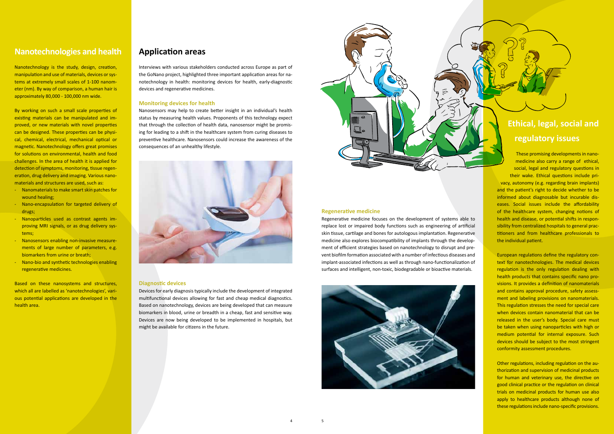Nanotechnology is the study, design, creation, manipulation and use of materials, devices or systems at extremely small scales of 1-100 nanometer (nm). By way of comparison, a human hair is approximately 80,000 - 100,000 nm wide.

By working on such a small scale properties of existing materials can be manipulated and improved, or new materials with novel properties can be designed. These properties can be physical, chemical, electrical, mechanical optical or magnetic. Nanotechnology offers great promises for solutions on environmental, health and food challenges. In the area of health it is applied for detection of symptoms, monitoring, tissue regeneration, drug delivery and imaging. Various nanomaterials and structures are used, such as:

- Nanomaterials to make smart skin patches for wound healing;
- Nano-encapsulation for targeted delivery of drugs;
- Nanoparticles used as contrast agents improving MRI signals, or as drug delivery systems;
- Nanosensors enabling non-invasive measurements of large number of parameters, e.g. biomarkers from urine or breath;
- Nano-bio and synthetic technologies enabling regenerative medicines.

Based on these nanosystems and structures, which all are labelled as 'nanotechnologies', various potential applications are developed in the health area.

### **Application areas**

Interviews with various stakeholders conducted across Europe as part of the GoNano project, highlighted three important application areas for nanotechnology in health: monitoring devices for health, early-diagnostic devices and regenerative medicines.

> These promising developments in nanomedicine also carry a range of ethical, social, legal and regulatory questions in their wake. Ethical questions include privacy, autonomy (e.g. regarding brain implants) and the patient's right to decide whether to be informed about diagnosable but incurable dis**reases.** Social issues include the affordability **nealth disorder in the healthcare system, changing notions of Alzheimer's disease, or Alzheimer's disease, or A** tems able to lealth and disease, or potential shifts in respong of artificial **come in the sibility from centralized hospitals to general prac-**Regenerative **titioners and from healthcare professionals to** the develop-  $\blacksquare$  the individual patient.

#### **Monitoring devices for health**

Nanosensors may help to create better insight in an individual's health status by measuring health values. Proponents of this technology expect that through the collection of health data, nanosensor might be promising for leading to a shift in the healthcare system from curing diseases to preventive healthcare. Nanosensors could increase the awareness of the consequences of an unhealthy lifestyle.



#### **Diagnostic devices**

diseases and **European regulations define the regulatory con**onalization of **text for nanotechnologies. The medical devices** e materials. **The regulation is the only regulation dealing with** state of the health products that contains specific nano pro**knowledge and as he waits for the waits for the news. It provides a definition of nanomaterials** and contains approval procedure, safety assessment and labeling provisions on nanomaterials. This regulation stresses the need for special care when devices contain nanomaterial that can be released in the user's body. Special care must be taken when using nanoparticles with high or medium potential for internal exposure. Such devices should be subject to the most stringent conformity assessment procedures.

Devices for early diagnosis typically include the development of integrated multifunctional devices allowing for fast and cheap medical diagnostics. Based on nanotechnology, devices are being developed that can measure biomarkers in blood, urine or breadth in a cheap, fast and sensitive way. Devices are now being developed to be implemented in hospitals, but might be available for citizens in the future.



#### **Regenerative medicine**

Regenerative medicine focuses on the development of systems able to replace lost or impaired body functions such as engineering of artificial skin tissue, cartilage and bones for autologous implantation. Regenerative medicine also explores biocompatibility of implants through the developthat looks a bit is a bit is a bit is a bit is a bit like a bit like a bit like a bit like a nosevent biofilm formation associated with a number of infectious diseases and implant-associated infections as well as through nano-functionalization of surfaces and intelligent, non-toxic, biodegradable or bioactive materials.

## **Ethical, legal, social and regulatory issues**

Other regulations, including regulation on the authorization and supervision of medicinal products for human and veterinary use, the directive on good clinical practice or the regulation on clinical trials on medicinal products for human use also apply to healthcare products although none of these regulations include nano-specific provisions.

### **Nanotechnologies and health**

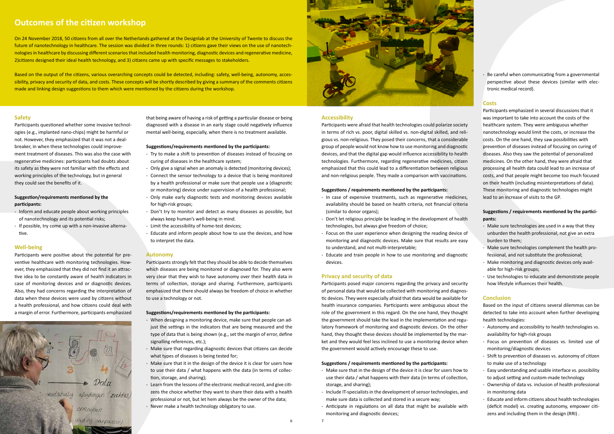- 
- 
- 
- 
- 
- 
- 
- 
- 

#### **Safety**

Participants questioned whether some invasive technologies (e.g., implanted nano-chips) might be harmful or not. However, they emphasized that it was not a dealbreaker, in when these technologies could improvement treatment of diseases. This was also the case with regenerative medicines: participants had doubts about its safety as they were not familiar with the effects and working principles of the technology, but in general they could see the benefits of it.

#### **Suggestion/requirements mentioned by the participants:**

- Inform and educate people about working principles of nanotechnology and its potential risks;
- If possible, try come up with a non-invasive alternative.

#### **Well-being**

Participants were positive about the potential for preventive healthcare with monitoring technologies. However, they emphasized that they did not find it an attractive idea to be constantly aware of health indicators in case of monitoring devices and or diagnostic devices. Also, they had concerns regarding the interpretation of data when these devices were used by citizens without a health professional, and how citizens could deal with a margin of error. Furthermore, participants emphasized



#### **Accessibility**

Participants were afraid that health technologies could polarize society in terms of rich vs. poor, digital skilled vs. non-digital skilled, and religious vs. non-religious. They posed their concerns, that a considerable group of people would not know how to use monitoring and diagnostic devices, and that the digital gap would influence accessibility to health technologies. Furthermore, regarding regenerative medicines, citizen emphasized that this could lead to a differentiation between religious and non-religious people. They made a comparison with vaccinations.

#### **Suggestions / requirements mentioned by the participants:**

- In case of expensive treatments, such as regenerative medicines, availability should be based on health criteria, not financial criteria (similar to donor organs);
- Don't let religious principle be leading in the development of health technologies, but always give freedom of choice;
- Focus on the user experience when designing the reading device of monitoring and diagnostic devices. Make sure that results are easy to understand, and not multi-interpretable;
- Educate and train people in how to use monitoring and diagnostic devices.

#### **Privacy and security of data**

Participants posed major concerns regarding the privacy and security of personal data that would be collected with monitoring and diagnostic devices. They were especially afraid that data would be available for health insurance companies. Participants were ambiguous about the role of the government in this regard. On the one hand, they thought the government should take the lead in the implementation and regulatory framework of monitoring and diagnostic devices. On the other hand, they thought these devices should be implemented by the market and they would feel less inclined to use a monitoring device when the government would actively encourage these to use.

#### **Suggestions / requirements mentioned by the participants:**

### **Outcomes of the citizen workshop**

On 24 November 2018, 50 citizens from all over the Netherlands gathered at the Designlab at the University of Twente to discuss the future of nanotechnology in healthcare. The session was divided in three rounds: 1) citizens gave their views on the use of nanotechnologies in healthcare by discussing different scenarios that included health monitoring, diagnostic devices and regenerative medicine, 2)citizens designed their ideal health technology, and 3) citizens came up with specific messages to stakeholders.

Based on the output of the citizens, various overarching concepts could be detected, including: safety, well-being, autonomy, accessibility, privacy and security of data, and costs. These concepts will be shortly described by giving a summary of the comments citizens made and linking design suggestions to them which were mentioned by the citizens during the workshop.

- Be careful when communicating from a governmental perspective about these devices (similar with electronic medical record).

### **Costs**

- Make sure that in the design of the device it is clear for users how to use their data / what happens with their data (in terms of collection, storage, and sharing); make sure data is collected and stored in a secure way; - Easy understanding and usable interface vs. possibility to adjust setting and custom-made technology - Ownership of data vs. inclusion of health professional in monitoring data - Educate and inform citizens about health technologies
- Include IT-specialists in the development of sensor technologies, and - Anticipate in regulations on all data that might be available with monitoring and diagnostic devices; (deficit model) vs. creating autonomy, empower citizens and including them in the design (RRI) .
- 

Participants emphasized in several discussions that it was important to take into account the costs of the healthcare system. They were ambiguous whether nanotechnology would limit the costs, or increase the costs. On the one hand, they saw possibilities with prevention of diseases instead of focusing on curing of diseases. Also they saw the potential of personalized medicines. On the other hand, they were afraid that processing all health data could lead to an increase of costs, and that people might become too much focused on their health (including misinterpretations of data). These monitoring and diagnostic technologies might lead to an increase of visits to the GP.

- **Suggestions / requirements mentioned by the participants:**
- Make sure technologies are used in a way that they unburden the health professional, not give an extra burden to them;
- Make sure technologies complement the health professional, and not substitute the professional;
- Make monitoring and diagnostic devices only available for high-risk groups;
- Use technologies to educate and demonstrate people how lifestyle influences their health.

### **Conclusion**

Based on the input of citizens several dilemmas can be detected to take into account when further developing health technologies:

- Autonomy and accessibility to health technologies vs. availability for high-risk groups
- Focus on prevention of diseases vs. limited use of monitoring/diagnostic devices
- Shift to prevention of diseases vs. autonomy of citizen to make use of a technology

that being aware of having a risk of getting a particular disease or being diagnosed with a disease in an early stage could negatively influence mental well-being, especially, when there is no treatment available.

#### **Suggestions/requirements mentioned by the participants:**

- Try to make a shift to prevention of diseases instead of focusing on curing of diseases in the healthcare system;
- Only give a signal when an anomaly is detected (monitoring devices);
- Connect the sensor technology to a device that is being monitored by a health professional or make sure that people use a (diagnostic or monitoring) device under supervision of a health professional;
- Only make early diagnostic tests and monitoring devices available for high-risk groups;
- Don't try to monitor and detect as many diseases as possible, but always keep human's well-being in mind.
- Limit the accessibility of home-test devices;
- Educate and inform people about how to use the devices, and how to interpret the data.

#### **Autonomy**

Participants strongly felt that they should be able to decide themselves which diseases are being monitored or diagnosed for. They also were very clear that they wish to have autonomy over their health data in terms of collection, storage and sharing. Furthermore, participants emphasized that there should always be freedom of choice in whether to use a technology or not.

#### **Suggestions/requirements mentioned by the participants:**

- When designing a monitoring device, make sure that people can adjust the settings in the indicators that are being measured and the type of data that is being shown (e.g., set the margin of error, define signalling references, etc.);
- Make sure that regarding diagnostic devices that citizens can decide what types of diseases is being tested for;
- Make sure that it in the design of the device it is clear for users how to use their data / what happens with the data (in terms of collection, storage, and sharing);
- Learn from the lessons of the electronic medical record, and give citizens the choice whether they want to share their data with a health professional or not, but let hem always be the owner of the data; - Never make a health technology obligatory to use.